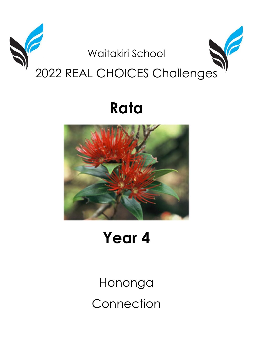

# Rata



## Year 4

Hononga Connection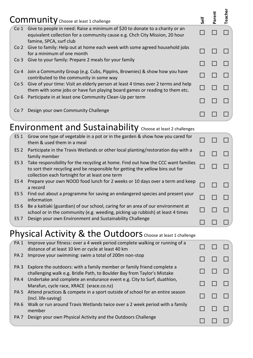|                 | Community Choose at least 1 challenge                                                                                                                                                  | ទី | aren | Teache |
|-----------------|----------------------------------------------------------------------------------------------------------------------------------------------------------------------------------------|----|------|--------|
| Co 1            | Give to people in need: Raise a minimum of \$20 to donate to a charity or an<br>equivalent collection for a community cause e.g. Chch City Mission, 20 hour<br>famine, SPCA, surf club |    |      |        |
| Co 2            | Give to family: Help out at home each week with some agreed household jobs<br>for a minimum of one month                                                                               |    |      |        |
| Co <sub>3</sub> | Give to your family: Prepare 2 meals for your family                                                                                                                                   |    |      |        |
| Co 4            | Join a Community Group (e.g. Cubs, Pippins, Brownies) & show how you have<br>contributed to the community in some way                                                                  |    |      |        |
| Co 5            | Give of your time: Visit an elderly person at least 4 times over 2 terms and help<br>them with some jobs or have fun playing board games or reading to them etc.                       |    |      |        |
| Co 6            | Participate in at least one Community Clean-Up per term                                                                                                                                |    |      |        |
| Co 7            | Design your own Community Challenge                                                                                                                                                    |    |      |        |

### Environment and Sustainability Choose at least 2 challenges

| <b>ES 1</b>     | Grow one type of vegetable in a pot or in the garden & show how you cared for<br>them & used them in a meal                                                                                                            |  |  |
|-----------------|------------------------------------------------------------------------------------------------------------------------------------------------------------------------------------------------------------------------|--|--|
| ES <sub>2</sub> | Participate in the Travis Wetlands or other local planting/restoration day with a<br>family member                                                                                                                     |  |  |
| ES <sub>3</sub> | Take responsibility for the recycling at home. Find out how the CCC want families<br>to sort their recycling and be responsible for getting the yellow bins out for<br>collection each fortnight for at least one term |  |  |
| ES <sub>4</sub> | Prepare your own NOOD food lunch for 2 weeks or 10 days over a term and keep<br>a record                                                                                                                               |  |  |
| ES <sub>5</sub> | Find out about a programme for saving an endangered species and present your<br>information                                                                                                                            |  |  |
| ES <sub>6</sub> | Be a kaitiaki (guardian) of our school, caring for an area of our environment at<br>school or in the community (e.g. weeding, picking up rubbish) at least 4 times                                                     |  |  |
| ES <sub>7</sub> | Design your own Environment and Sustainability Challenge                                                                                                                                                               |  |  |

#### Physical Activity & the Outdoors Choose at least 1 challenge

| PA <sub>1</sub> | Improve your fitness: over a 4 week period complete walking or running of a<br>distance of at least 10 km or cycle at least 40 km                 |  |  |
|-----------------|---------------------------------------------------------------------------------------------------------------------------------------------------|--|--|
| PA <sub>2</sub> | Improve your swimming: swim a total of 200m non-stop                                                                                              |  |  |
| PA <sub>3</sub> | Explore the outdoors: with a family member or family friend complete a<br>challenging walk e.g. Bridle Path, to Boulder Bay from Taylor's Mistake |  |  |
| PA <sub>4</sub> | Undertake and complete an endurance event e.g. City to Surf, duathlon,<br>Marafun, cycle race, XRACE (xrace.co.nz)                                |  |  |
| PA <sub>5</sub> | Attend practices & compete in a sport outside of school for an entire season<br>(incl. life-saving)                                               |  |  |
| PA <sub>6</sub> | Walk or run around Travis Wetlands twice over a 2 week period with a family<br>member                                                             |  |  |
| PA <sub>7</sub> | Design your own Physical Activity and the Outdoors Challenge                                                                                      |  |  |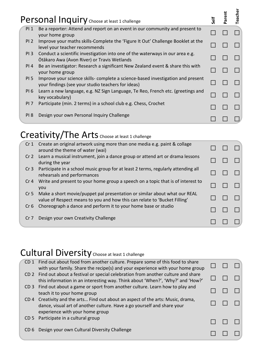|                 | Personal Inquiry Choose at least 1 challenge                                                                                          | Self | arent | <b>Teacher</b> |
|-----------------|---------------------------------------------------------------------------------------------------------------------------------------|------|-------|----------------|
| $PI_1$          | Be a reporter: Attend and report on an event in our community and present to<br>your home group                                       |      |       |                |
| PI <sub>2</sub> | Improve your maths skills-Complete the 'Figure It Out' Challenge Booklet at the<br>level your teacher recommends                      |      |       |                |
| PI <sub>3</sub> | Conduct a scientific investigation into one of the waterways in our area e.g.<br>Ōtākaro Awa (Avon River) or Travis Wetlands          |      |       |                |
| PI 4            | Be an investigator: Research a significant New Zealand event & share this with<br>your home group                                     |      |       |                |
| PI 5            | Improve your science skills- complete a science-based investigation and present<br>your findings (see your studio teachers for ideas) |      |       |                |
| PI 6            | Learn a new language, e.g. NZ Sign Language, Te Reo, French etc. (greetings and<br>key vocabulary)                                    |      |       |                |
| PI 7            | Participate (min. 2 terms) in a school club e.g. Chess, Crochet                                                                       |      |       |                |
| PI <sub>8</sub> | Design your own Personal Inquiry Challenge                                                                                            |      |       |                |

#### Creativity/The Arts Choose at least 1 challenge

| Cr <sub>1</sub> | Create an original artwork using more than one media e.g. paint & collage<br>around the theme of water (wai)                                           |  |  |
|-----------------|--------------------------------------------------------------------------------------------------------------------------------------------------------|--|--|
| Cr <sub>2</sub> | Learn a musical instrument, join a dance group or attend art or drama lessons<br>during the year                                                       |  |  |
| Cr <sub>3</sub> | Participate in a school music group for at least 2 terms, regularly attending all<br>rehearsals and performances                                       |  |  |
| Cr <sub>4</sub> | Write and present to your home group a speech on a topic that is of interest to<br>you                                                                 |  |  |
| Cr <sub>5</sub> | Make a short movie/puppet pal presentation or similar about what our REAL<br>value of Respect means to you and how this can relate to 'Bucket Filling' |  |  |
| Cr <sub>6</sub> | Choreograph a dance and perform it to your home base or studio                                                                                         |  |  |
| Cr <sub>7</sub> | Design your own Creativity Challenge                                                                                                                   |  |  |

#### Cultural Diversity Choose at least 1 challenge

| CD 1 Find out about food from another culture. Prepare some of this food to share<br>with your family. Share the recipe(s) and your experience with your home group<br>CD 2 Find out about a festival or special celebration from another culture and share<br>this information in an interesting way. Think about 'When?', 'Why?' and 'How?'<br>CD 3 Find out about a game or sport from another culture. Learn how to play and<br>teach it to your home group<br>CD 4 Creativity and the arts Find out about an aspect of the arts: Music, drama,<br>dance, visual art of another culture. Have a go yourself and share your<br>experience with your home group<br>Participate in a cultural group<br>CD <sub>5</sub><br>Design your own Cultural Diversity Challenge<br>CD 6 |  |  |  |
|---------------------------------------------------------------------------------------------------------------------------------------------------------------------------------------------------------------------------------------------------------------------------------------------------------------------------------------------------------------------------------------------------------------------------------------------------------------------------------------------------------------------------------------------------------------------------------------------------------------------------------------------------------------------------------------------------------------------------------------------------------------------------------|--|--|--|
|                                                                                                                                                                                                                                                                                                                                                                                                                                                                                                                                                                                                                                                                                                                                                                                 |  |  |  |
|                                                                                                                                                                                                                                                                                                                                                                                                                                                                                                                                                                                                                                                                                                                                                                                 |  |  |  |
|                                                                                                                                                                                                                                                                                                                                                                                                                                                                                                                                                                                                                                                                                                                                                                                 |  |  |  |
|                                                                                                                                                                                                                                                                                                                                                                                                                                                                                                                                                                                                                                                                                                                                                                                 |  |  |  |
|                                                                                                                                                                                                                                                                                                                                                                                                                                                                                                                                                                                                                                                                                                                                                                                 |  |  |  |
|                                                                                                                                                                                                                                                                                                                                                                                                                                                                                                                                                                                                                                                                                                                                                                                 |  |  |  |